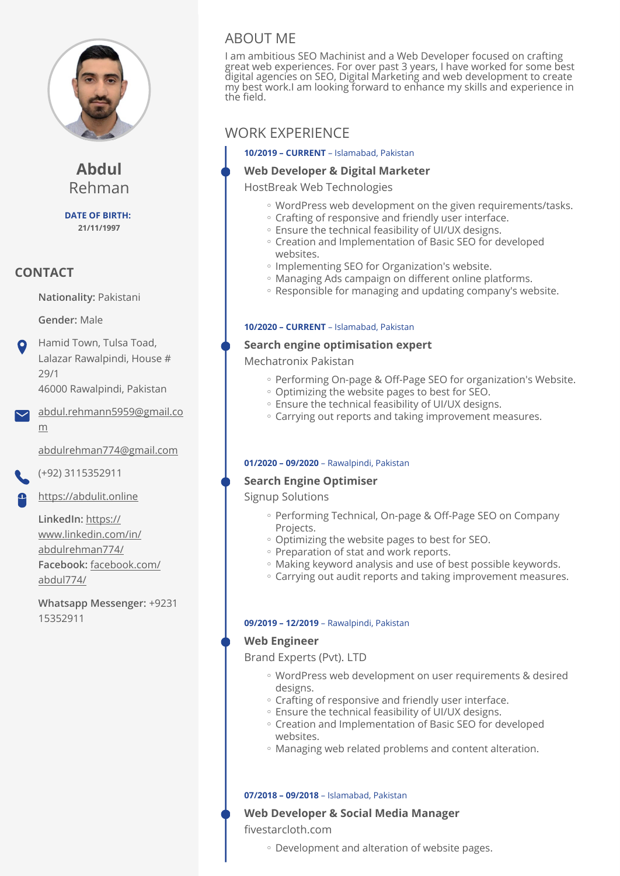

**Abdul** Rehman

**DATE OF BIRTH: 21/11/1997**

# **CONTACT**

**Nationality:** Pakistani

**Gender:** Male

Hamid Town, Tulsa Toad, Lalazar Rawalpindi, House # 29/1 46000 Rawalpindi, Pakistan

[abdul.rehmann5959@gmail.co](mailto:abdul.rehmann5959@gmail.com) [m](mailto:abdul.rehmann5959@gmail.com)

[abdulrehman774@gmail.com](mailto:abdulrehman774@gmail.com)

(+92) 3115352911

<https://abdulit.online>

**LinkedIn:** [https://](https://www.linkedin.com/in/abdulrehman774/) [www.linkedin.com/in/](https://www.linkedin.com/in/abdulrehman774/) [abdulrehman774/](https://www.linkedin.com/in/abdulrehman774/) **Facebook:** [facebook.com/](http://facebook.com/abdul774/) [abdul774/](http://facebook.com/abdul774/)

**Whatsapp Messenger:** +9231 15352911

# ABOUT ME

I am ambitious SEO Machinist and a Web Developer focused on crafting great web experiences. For over past 3 years, I have worked for some best digital agencies on SEO, Digital Marketing and web development to create my best work.I am looking forward to enhance my skills and experience in the field.

# WORK EXPERIENCE

**10/2019 – CURRENT** – Islamabad, Pakistan

## **Web Developer & Digital Marketer**

HostBreak Web Technologies

- WordPress web development on the given requirements/tasks. ◦
- Crafting of responsive and friendly user interface. ◦
- Ensure the technical feasibility of UI/UX designs. ◦
- Creation and Implementation of Basic SEO for developed websites.
- Implementing SEO for Organization's website.
- Managing Ads campaign on different online platforms. ◦
- Responsible for managing and updating company's website. ◦

## **10/2020 – CURRENT** – Islamabad, Pakistan

## **Search engine optimisation expert**

Mechatronix Pakistan

- Performing On-page & Off-Page SEO for organization's Website.
- Optimizing the website pages to best for SEO. ◦
- Ensure the technical feasibility of UI/UX designs. ◦
- Carrying out reports and taking improvement measures. ◦

#### **01/2020 – 09/2020** – Rawalpindi, Pakistan

## **Search Engine Optimiser**

Signup Solutions

- Performing Technical, On-page & Off-Page SEO on Company Projects.
- Optimizing the website pages to best for SEO. ◦
- Preparation of stat and work reports.
- Making keyword analysis and use of best possible keywords. ◦
- Carrying out audit reports and taking improvement measures. ◦

#### **09/2019 – 12/2019** – Rawalpindi, Pakistan

## **Web Engineer**

Brand Experts (Pvt). LTD

- WordPress web development on user requirements & desired designs.
- Crafting of responsive and friendly user interface. ◦
- Ensure the technical feasibility of UI/UX designs. ◦
- Creation and Implementation of Basic SEO for developed websites.
- Managing web related problems and content alteration. ◦

#### **07/2018 – 09/2018** – Islamabad, Pakistan

### **Web Developer & Social Media Manager**  fivestarcloth.com

Development and alteration of website pages. ◦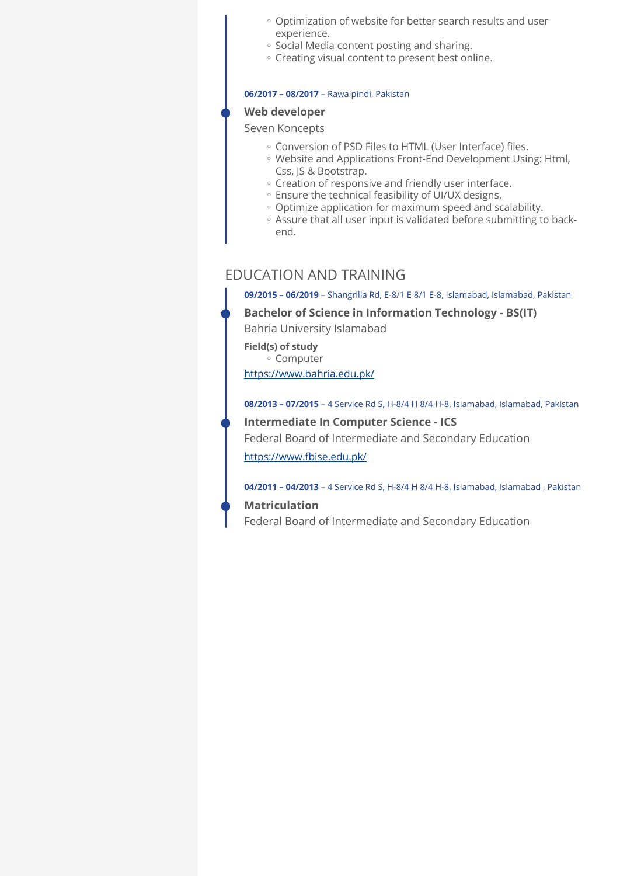- Optimization of website for better search results and user experience.
- Social Media content posting and sharing.
- Creating visual content to present best online.

#### **06/2017 – 08/2017** – Rawalpindi, Pakistan

## **Web developer**

Seven Koncepts

- Conversion of PSD Files to HTML (User Interface) files. ◦
- Website and Applications Front-End Development Using: Html, Css, JS & Bootstrap.
- Creation of responsive and friendly user interface. ◦
- Ensure the technical feasibility of UI/UX designs. ◦
- Optimize application for maximum speed and scalability. ◦
- Assure that all user input is validated before submitting to back-◦ end.

# EDUCATION AND TRAINING

**09/2015 – 06/2019** – Shangrilla Rd, E-8/1 E 8/1 E-8, Islamabad, Islamabad, Pakistan

## **Bachelor of Science in Information Technology - BS(IT)**  Bahria University Islamabad

**Field(s) of study** Computer ◦ <https://www.bahria.edu.pk/>

**08/2013 – 07/2015** – 4 Service Rd S, H-8/4 H 8/4 H-8, Islamabad, Islamabad, Pakistan

**Intermediate In Computer Science - ICS** 

Federal Board of Intermediate and Secondary Education

<https://www.fbise.edu.pk/>

**04/2011 – 04/2013** – 4 Service Rd S, H-8/4 H 8/4 H-8, Islamabad, Islamabad , Pakistan

#### **Matriculation**

Federal Board of Intermediate and Secondary Education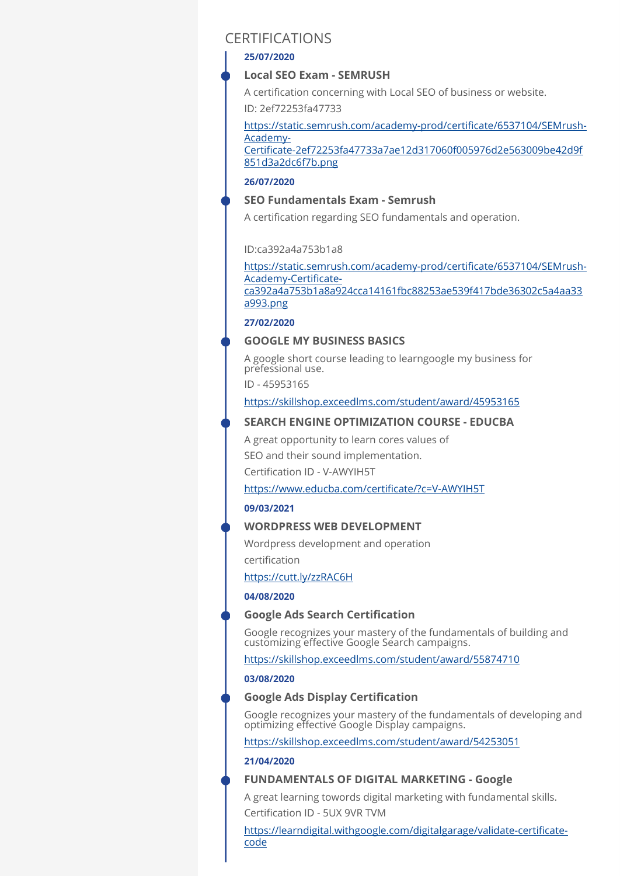# CERTIFICATIONS

#### **25/07/2020**

### **Local SEO Exam - SEMRUSH**

A certification concerning with Local SEO of business or website.

ID: 2ef72253fa47733

[851d3a2dc6f7b.png](https://static.semrush.com/academy-prod/certificate/6537104/SEMrush-Academy-Certificate-2ef72253fa47733a7ae12d317060f005976d2e563009be42d9f851d3a2dc6f7b.png)

[https://static.semrush.com/academy-prod/certi](https://static.semrush.com/academy-prod/certificate/6537104/SEMrush-Academy-Certificate-2ef72253fa47733a7ae12d317060f005976d2e563009be42d9f851d3a2dc6f7b.png)ficate/6537104/SEMrush-[Academy-](https://static.semrush.com/academy-prod/certificate/6537104/SEMrush-Academy-Certificate-2ef72253fa47733a7ae12d317060f005976d2e563009be42d9f851d3a2dc6f7b.png)Certifi[cate-2ef72253fa47733a7ae12d317060f005976d2e563009be42d9f](https://static.semrush.com/academy-prod/certificate/6537104/SEMrush-Academy-Certificate-2ef72253fa47733a7ae12d317060f005976d2e563009be42d9f851d3a2dc6f7b.png)

#### **26/07/2020**

## **SEO Fundamentals Exam - Semrush**

A certification regarding SEO fundamentals and operation.

#### ID:ca392a4a753b1a8

[https://static.semrush.com/academy-prod/certi](https://static.semrush.com/academy-prod/certificate/6537104/SEMrush-Academy-Certificate-ca392a4a753b1a8a924cca14161fbc88253ae539f417bde36302c5a4aa33a993.png)ficate/6537104/SEMrush-[Academy-Certi](https://static.semrush.com/academy-prod/certificate/6537104/SEMrush-Academy-Certificate-ca392a4a753b1a8a924cca14161fbc88253ae539f417bde36302c5a4aa33a993.png)ficate[ca392a4a753b1a8a924cca14161fbc88253ae539f417bde36302c5a4aa33](https://static.semrush.com/academy-prod/certificate/6537104/SEMrush-Academy-Certificate-ca392a4a753b1a8a924cca14161fbc88253ae539f417bde36302c5a4aa33a993.png) [a993.png](https://static.semrush.com/academy-prod/certificate/6537104/SEMrush-Academy-Certificate-ca392a4a753b1a8a924cca14161fbc88253ae539f417bde36302c5a4aa33a993.png)

#### **27/02/2020**

#### **GOOGLE MY BUSINESS BASICS**

A google short course leading to learngoogle my business for prefessional use.

ID - 45953165

<https://skillshop.exceedlms.com/student/award/45953165>

#### **SEARCH ENGINE OPTIMIZATION COURSE - EDUCBA**

A great opportunity to learn cores values of SEO and their sound implementation.

Certification ID - V-AWYIH5T

## [https://www.educba.com/certi](https://www.educba.com/certificate/?c=V-AWYIH5T)ficate/?c=V-AWYIH5T

#### **09/03/2021**

#### **WORDPRESS WEB DEVELOPMENT**

Wordpress development and operation certification

<https://cutt.ly/zzRAC6H>

#### **04/08/2020**

## **Google Ads Search Certification**

Google recognizes your mastery of the fundamentals of building and customizing effective Google Search campaigns.

<https://skillshop.exceedlms.com/student/award/55874710>

#### **03/08/2020**

#### **Google Ads Display Certification**

Google recognizes your mastery of the fundamentals of developing and optimizing effective Google Display campaigns.

<https://skillshop.exceedlms.com/student/award/54253051>

### **21/04/2020**

## **FUNDAMENTALS OF DIGITAL MARKETING - Google**

A great learning towords digital marketing with fundamental skills. Certification ID - 5UX 9VR TVM

[https://learndigital.withgoogle.com/digitalgarage/validate-certi](https://learndigital.withgoogle.com/digitalgarage/validate-certificate-code)ficate[code](https://learndigital.withgoogle.com/digitalgarage/validate-certificate-code)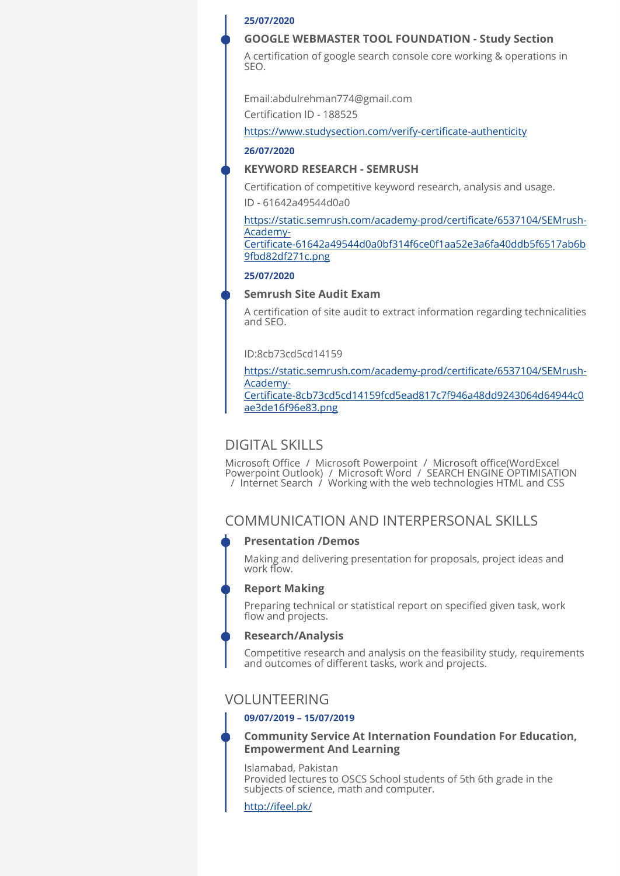#### **25/07/2020**

### **GOOGLE WEBMASTER TOOL FOUNDATION - Study Section**

A certification of google search console core working & operations in SEO.

Email:abdulrehman774@gmail.com

Certification ID - 188525

[https://www.studysection.com/verify-certi](https://www.studysection.com/verify-certificate-authenticity)ficate-authenticity

#### **26/07/2020**

#### **KEYWORD RESEARCH - SEMRUSH**

Certification of competitive keyword research, analysis and usage. ID - 61642a49544d0a0

[https://static.semrush.com/academy-prod/certi](https://static.semrush.com/academy-prod/certificate/6537104/SEMrush-Academy-Certificate-61642a49544d0a0bf314f6ce0f1aa52e3a6fa40ddb5f6517ab6b9fbd82df271c.png)ficate/6537104/SEMrush-[Academy-](https://static.semrush.com/academy-prod/certificate/6537104/SEMrush-Academy-Certificate-61642a49544d0a0bf314f6ce0f1aa52e3a6fa40ddb5f6517ab6b9fbd82df271c.png)Certifi[cate-61642a49544d0a0bf314f6ce0f1aa52e3a6fa40ddb5f6517ab6b](https://static.semrush.com/academy-prod/certificate/6537104/SEMrush-Academy-Certificate-61642a49544d0a0bf314f6ce0f1aa52e3a6fa40ddb5f6517ab6b9fbd82df271c.png)

[9fbd82df271c.png](https://static.semrush.com/academy-prod/certificate/6537104/SEMrush-Academy-Certificate-61642a49544d0a0bf314f6ce0f1aa52e3a6fa40ddb5f6517ab6b9fbd82df271c.png)

#### **25/07/2020**

### **Semrush Site Audit Exam**

A certification of site audit to extract information regarding technicalities and SEO.

## ID:8cb73cd5cd14159

[https://static.semrush.com/academy-prod/certi](https://static.semrush.com/academy-prod/certificate/6537104/SEMrush-Academy-Certificate-8cb73cd5cd14159fcd5ead817c7f946a48dd9243064d64944c0ae3de16f96e83.png)ficate/6537104/SEMrush-[Academy-](https://static.semrush.com/academy-prod/certificate/6537104/SEMrush-Academy-Certificate-8cb73cd5cd14159fcd5ead817c7f946a48dd9243064d64944c0ae3de16f96e83.png)Certifi[cate-8cb73cd5cd14159fcd5ead817c7f946a48dd9243064d64944c0](https://static.semrush.com/academy-prod/certificate/6537104/SEMrush-Academy-Certificate-8cb73cd5cd14159fcd5ead817c7f946a48dd9243064d64944c0ae3de16f96e83.png)

[ae3de16f96e83.png](https://static.semrush.com/academy-prod/certificate/6537104/SEMrush-Academy-Certificate-8cb73cd5cd14159fcd5ead817c7f946a48dd9243064d64944c0ae3de16f96e83.png)

# DIGITAL SKILLS

Microsoft Office / Microsoft Powerpoint / Microsoft office(WordExcel Powerpoint Outlook) / Microsoft Word / SEARCH ENGINE OPTIMISATION / Internet Search / Working with the web technologies HTML and CSS

# COMMUNICATION AND INTERPERSONAL SKILLS

#### **Presentation /Demos**

Making and delivering presentation for proposals, project ideas and work flow.

#### **Report Making**

Preparing technical or statistical report on specified given task, work flow and projects.

#### **Research/Analysis**

Competitive research and analysis on the feasibility study, requirements and outcomes of different tasks, work and projects.

# VOLUNTEERING

#### **09/07/2019 – 15/07/2019**

## **Community Service At Internation Foundation For Education, Empowerment And Learning**

Islamabad, Pakistan Provided lectures to OSCS School students of 5th 6th grade in the subjects of science, math and computer.

<http://ifeel.pk/>